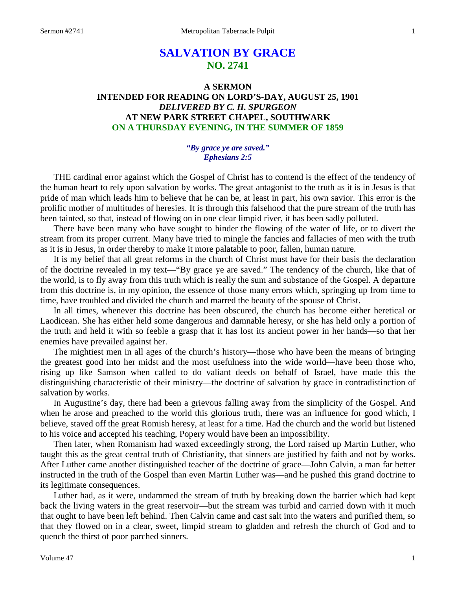# **SALVATION BY GRACE NO. 2741**

## **A SERMON INTENDED FOR READING ON LORD'S-DAY, AUGUST 25, 1901** *DELIVERED BY C. H. SPURGEON* **AT NEW PARK STREET CHAPEL, SOUTHWARK ON A THURSDAY EVENING, IN THE SUMMER OF 1859**

## *"By grace ye are saved." Ephesians 2:5*

THE cardinal error against which the Gospel of Christ has to contend is the effect of the tendency of the human heart to rely upon salvation by works. The great antagonist to the truth as it is in Jesus is that pride of man which leads him to believe that he can be, at least in part, his own savior. This error is the prolific mother of multitudes of heresies. It is through this falsehood that the pure stream of the truth has been tainted, so that, instead of flowing on in one clear limpid river, it has been sadly polluted.

There have been many who have sought to hinder the flowing of the water of life, or to divert the stream from its proper current. Many have tried to mingle the fancies and fallacies of men with the truth as it is in Jesus, in order thereby to make it more palatable to poor, fallen, human nature.

It is my belief that all great reforms in the church of Christ must have for their basis the declaration of the doctrine revealed in my text—"By grace ye are saved." The tendency of the church, like that of the world, is to fly away from this truth which is really the sum and substance of the Gospel. A departure from this doctrine is, in my opinion, the essence of those many errors which, springing up from time to time, have troubled and divided the church and marred the beauty of the spouse of Christ.

In all times, whenever this doctrine has been obscured, the church has become either heretical or Laodicean. She has either held some dangerous and damnable heresy, or she has held only a portion of the truth and held it with so feeble a grasp that it has lost its ancient power in her hands—so that her enemies have prevailed against her.

The mightiest men in all ages of the church's history—those who have been the means of bringing the greatest good into her midst and the most usefulness into the wide world—have been those who, rising up like Samson when called to do valiant deeds on behalf of Israel, have made this the distinguishing characteristic of their ministry—the doctrine of salvation by grace in contradistinction of salvation by works.

In Augustine's day, there had been a grievous falling away from the simplicity of the Gospel. And when he arose and preached to the world this glorious truth, there was an influence for good which, I believe, staved off the great Romish heresy, at least for a time. Had the church and the world but listened to his voice and accepted his teaching, Popery would have been an impossibility.

Then later, when Romanism had waxed exceedingly strong, the Lord raised up Martin Luther, who taught this as the great central truth of Christianity, that sinners are justified by faith and not by works. After Luther came another distinguished teacher of the doctrine of grace—John Calvin, a man far better instructed in the truth of the Gospel than even Martin Luther was—and he pushed this grand doctrine to its legitimate consequences.

Luther had, as it were, undammed the stream of truth by breaking down the barrier which had kept back the living waters in the great reservoir—but the stream was turbid and carried down with it much that ought to have been left behind. Then Calvin came and cast salt into the waters and purified them, so that they flowed on in a clear, sweet, limpid stream to gladden and refresh the church of God and to quench the thirst of poor parched sinners.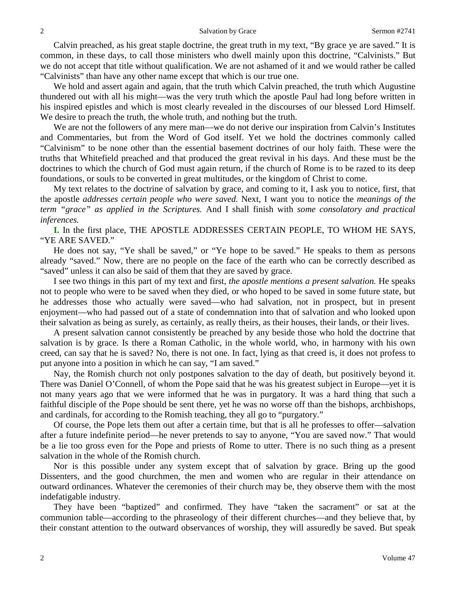Calvin preached, as his great staple doctrine, the great truth in my text, "By grace ye are saved." It is common, in these days, to call those ministers who dwell mainly upon this doctrine, "Calvinists." But we do not accept that title without qualification. We are not ashamed of it and we would rather be called "Calvinists" than have any other name except that which is our true one.

We hold and assert again and again, that the truth which Calvin preached, the truth which Augustine thundered out with all his might—was the very truth which the apostle Paul had long before written in his inspired epistles and which is most clearly revealed in the discourses of our blessed Lord Himself. We desire to preach the truth, the whole truth, and nothing but the truth.

We are not the followers of any mere man—we do not derive our inspiration from Calvin's Institutes and Commentaries, but from the Word of God itself. Yet we hold the doctrines commonly called "Calvinism" to be none other than the essential basement doctrines of our holy faith. These were the truths that Whitefield preached and that produced the great revival in his days. And these must be the doctrines to which the church of God must again return, if the church of Rome is to be razed to its deep foundations, or souls to be converted in great multitudes, or the kingdom of Christ to come.

My text relates to the doctrine of salvation by grace, and coming to it, I ask you to notice, first, that the apostle *addresses certain people who were saved.* Next, I want you to notice the *meanings of the term "grace" as applied in the Scriptures.* And I shall finish with *some consolatory and practical inferences.*

**I.** In the first place, THE APOSTLE ADDRESSES CERTAIN PEOPLE, TO WHOM HE SAYS, "YE ARE SAVED."

He does not say, "Ye shall be saved," or "Ye hope to be saved." He speaks to them as persons already "saved." Now, there are no people on the face of the earth who can be correctly described as "saved" unless it can also be said of them that they are saved by grace.

I see two things in this part of my text and first, *the apostle mentions a present salvation.* He speaks not to people who were to be saved when they died, or who hoped to be saved in some future state, but he addresses those who actually were saved—who had salvation, not in prospect, but in present enjoyment—who had passed out of a state of condemnation into that of salvation and who looked upon their salvation as being as surely, as certainly, as really theirs, as their houses, their lands, or their lives.

A present salvation cannot consistently be preached by any beside those who hold the doctrine that salvation is by grace. Is there a Roman Catholic, in the whole world, who, in harmony with his own creed, can say that he is saved? No, there is not one. In fact, lying as that creed is, it does not profess to put anyone into a position in which he can say, "I am saved."

Nay, the Romish church not only postpones salvation to the day of death, but positively beyond it. There was Daniel O'Connell, of whom the Pope said that he was his greatest subject in Europe—yet it is not many years ago that we were informed that he was in purgatory. It was a hard thing that such a faithful disciple of the Pope should be sent there, yet he was no worse off than the bishops, archbishops, and cardinals, for according to the Romish teaching, they all go to "purgatory."

Of course, the Pope lets them out after a certain time, but that is all he professes to offer—salvation after a future indefinite period—he never pretends to say to anyone, "You are saved now." That would be a lie too gross even for the Pope and priests of Rome to utter. There is no such thing as a present salvation in the whole of the Romish church.

Nor is this possible under any system except that of salvation by grace. Bring up the good Dissenters, and the good churchmen, the men and women who are regular in their attendance on outward ordinances. Whatever the ceremonies of their church may be, they observe them with the most indefatigable industry.

They have been "baptized" and confirmed. They have "taken the sacrament" or sat at the communion table—according to the phraseology of their different churches—and they believe that, by their constant attention to the outward observances of worship, they will assuredly be saved. But speak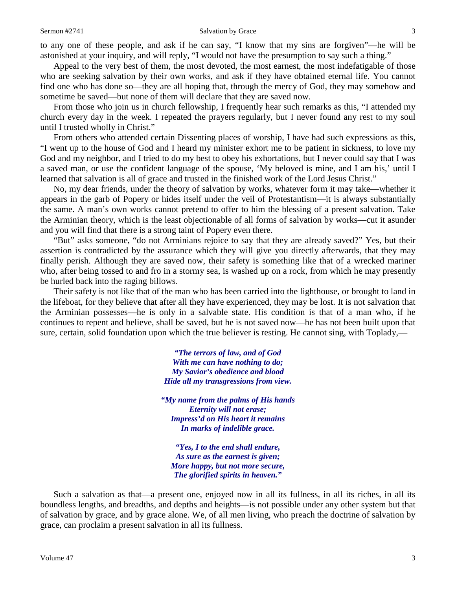to any one of these people, and ask if he can say, "I know that my sins are forgiven"—he will be astonished at your inquiry, and will reply, "I would not have the presumption to say such a thing."

Appeal to the very best of them, the most devoted, the most earnest, the most indefatigable of those who are seeking salvation by their own works, and ask if they have obtained eternal life. You cannot find one who has done so—they are all hoping that, through the mercy of God, they may somehow and sometime be saved—but none of them will declare that they are saved now.

From those who join us in church fellowship, I frequently hear such remarks as this, "I attended my church every day in the week. I repeated the prayers regularly, but I never found any rest to my soul until I trusted wholly in Christ."

From others who attended certain Dissenting places of worship, I have had such expressions as this, "I went up to the house of God and I heard my minister exhort me to be patient in sickness, to love my God and my neighbor, and I tried to do my best to obey his exhortations, but I never could say that I was a saved man, or use the confident language of the spouse, 'My beloved is mine, and I am his,' until I learned that salvation is all of grace and trusted in the finished work of the Lord Jesus Christ."

No, my dear friends, under the theory of salvation by works, whatever form it may take—whether it appears in the garb of Popery or hides itself under the veil of Protestantism—it is always substantially the same. A man's own works cannot pretend to offer to him the blessing of a present salvation. Take the Arminian theory, which is the least objectionable of all forms of salvation by works—cut it asunder and you will find that there is a strong taint of Popery even there.

"But" asks someone, "do not Arminians rejoice to say that they are already saved?" Yes, but their assertion is contradicted by the assurance which they will give you directly afterwards, that they may finally perish. Although they are saved now, their safety is something like that of a wrecked mariner who, after being tossed to and fro in a stormy sea, is washed up on a rock, from which he may presently be hurled back into the raging billows.

Their safety is not like that of the man who has been carried into the lighthouse, or brought to land in the lifeboat, for they believe that after all they have experienced, they may be lost. It is not salvation that the Arminian possesses—he is only in a salvable state. His condition is that of a man who, if he continues to repent and believe, shall be saved, but he is not saved now—he has not been built upon that sure, certain, solid foundation upon which the true believer is resting. He cannot sing, with Toplady,—

> *"The terrors of law, and of God With me can have nothing to do; My Savior's obedience and blood Hide all my transgressions from view.*

*"My name from the palms of His hands Eternity will not erase; Impress'd on His heart it remains In marks of indelible grace.*

*"Yes, I to the end shall endure, As sure as the earnest is given; More happy, but not more secure, The glorified spirits in heaven."*

Such a salvation as that—a present one, enjoyed now in all its fullness, in all its riches, in all its boundless lengths, and breadths, and depths and heights—is not possible under any other system but that of salvation by grace, and by grace alone. We, of all men living, who preach the doctrine of salvation by grace, can proclaim a present salvation in all its fullness.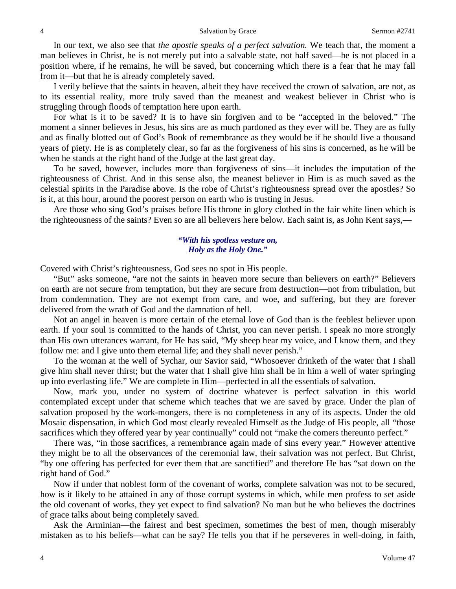In our text, we also see that *the apostle speaks of a perfect salvation.* We teach that, the moment a man believes in Christ, he is not merely put into a salvable state, not half saved—he is not placed in a position where, if he remains, he will be saved, but concerning which there is a fear that he may fall from it—but that he is already completely saved.

I verily believe that the saints in heaven, albeit they have received the crown of salvation, are not, as to its essential reality, more truly saved than the meanest and weakest believer in Christ who is struggling through floods of temptation here upon earth.

For what is it to be saved? It is to have sin forgiven and to be "accepted in the beloved." The moment a sinner believes in Jesus, his sins are as much pardoned as they ever will be. They are as fully and as finally blotted out of God's Book of remembrance as they would be if he should live a thousand years of piety. He is as completely clear, so far as the forgiveness of his sins is concerned, as he will be when he stands at the right hand of the Judge at the last great day.

To be saved, however, includes more than forgiveness of sins—it includes the imputation of the righteousness of Christ. And in this sense also, the meanest believer in Him is as much saved as the celestial spirits in the Paradise above. Is the robe of Christ's righteousness spread over the apostles? So is it, at this hour, around the poorest person on earth who is trusting in Jesus.

Are those who sing God's praises before His throne in glory clothed in the fair white linen which is the righteousness of the saints? Even so are all believers here below. Each saint is, as John Kent says,—

### *"With his spotless vesture on, Holy as the Holy One."*

Covered with Christ's righteousness, God sees no spot in His people.

"But" asks someone, "are not the saints in heaven more secure than believers on earth?" Believers on earth are not secure from temptation, but they are secure from destruction—not from tribulation, but from condemnation. They are not exempt from care, and woe, and suffering, but they are forever delivered from the wrath of God and the damnation of hell.

Not an angel in heaven is more certain of the eternal love of God than is the feeblest believer upon earth. If your soul is committed to the hands of Christ, you can never perish. I speak no more strongly than His own utterances warrant, for He has said, "My sheep hear my voice, and I know them, and they follow me: and I give unto them eternal life; and they shall never perish."

To the woman at the well of Sychar, our Savior said, "Whosoever drinketh of the water that I shall give him shall never thirst; but the water that I shall give him shall be in him a well of water springing up into everlasting life." We are complete in Him—perfected in all the essentials of salvation.

Now, mark you, under no system of doctrine whatever is perfect salvation in this world contemplated except under that scheme which teaches that we are saved by grace. Under the plan of salvation proposed by the work-mongers, there is no completeness in any of its aspects. Under the old Mosaic dispensation, in which God most clearly revealed Himself as the Judge of His people, all "those sacrifices which they offered year by year continually" could not "make the comers thereunto perfect."

There was, "in those sacrifices, a remembrance again made of sins every year." However attentive they might be to all the observances of the ceremonial law, their salvation was not perfect. But Christ, "by one offering has perfected for ever them that are sanctified" and therefore He has "sat down on the right hand of God."

Now if under that noblest form of the covenant of works, complete salvation was not to be secured, how is it likely to be attained in any of those corrupt systems in which, while men profess to set aside the old covenant of works, they yet expect to find salvation? No man but he who believes the doctrines of grace talks about being completely saved.

Ask the Arminian—the fairest and best specimen, sometimes the best of men, though miserably mistaken as to his beliefs—what can he say? He tells you that if he perseveres in well-doing, in faith,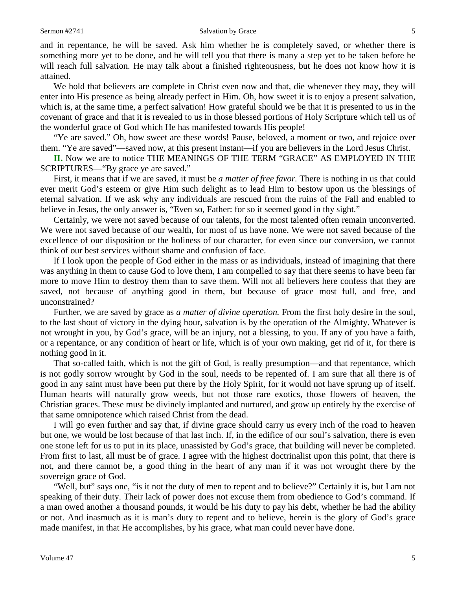#### Sermon #2741 Salvation by Grace 5

and in repentance, he will be saved. Ask him whether he is completely saved, or whether there is something more yet to be done, and he will tell you that there is many a step yet to be taken before he will reach full salvation. He may talk about a finished righteousness, but he does not know how it is attained.

We hold that believers are complete in Christ even now and that, die whenever they may, they will enter into His presence as being already perfect in Him. Oh, how sweet it is to enjoy a present salvation, which is, at the same time, a perfect salvation! How grateful should we be that it is presented to us in the covenant of grace and that it is revealed to us in those blessed portions of Holy Scripture which tell us of the wonderful grace of God which He has manifested towards His people!

"Ye are saved." Oh, how sweet are these words! Pause, beloved, a moment or two, and rejoice over them. "Ye are saved"—saved now, at this present instant—if you are believers in the Lord Jesus Christ.

**II.** Now we are to notice THE MEANINGS OF THE TERM "GRACE" AS EMPLOYED IN THE SCRIPTURES—"By grace ye are saved."

First, it means that if we are saved, it must be *a matter of free favor.* There is nothing in us that could ever merit God's esteem or give Him such delight as to lead Him to bestow upon us the blessings of eternal salvation. If we ask why any individuals are rescued from the ruins of the Fall and enabled to believe in Jesus, the only answer is, "Even so, Father: for so it seemed good in thy sight."

Certainly, we were not saved because of our talents, for the most talented often remain unconverted. We were not saved because of our wealth, for most of us have none. We were not saved because of the excellence of our disposition or the holiness of our character, for even since our conversion, we cannot think of our best services without shame and confusion of face.

If I look upon the people of God either in the mass or as individuals, instead of imagining that there was anything in them to cause God to love them, I am compelled to say that there seems to have been far more to move Him to destroy them than to save them. Will not all believers here confess that they are saved, not because of anything good in them, but because of grace most full, and free, and unconstrained?

Further, we are saved by grace as *a matter of divine operation.* From the first holy desire in the soul, to the last shout of victory in the dying hour, salvation is by the operation of the Almighty. Whatever is not wrought in you, by God's grace, will be an injury, not a blessing, to you. If any of you have a faith, or a repentance, or any condition of heart or life, which is of your own making, get rid of it, for there is nothing good in it.

That so-called faith, which is not the gift of God, is really presumption—and that repentance, which is not godly sorrow wrought by God in the soul, needs to be repented of. I am sure that all there is of good in any saint must have been put there by the Holy Spirit, for it would not have sprung up of itself. Human hearts will naturally grow weeds, but not those rare exotics, those flowers of heaven, the Christian graces. These must be divinely implanted and nurtured, and grow up entirely by the exercise of that same omnipotence which raised Christ from the dead.

I will go even further and say that, if divine grace should carry us every inch of the road to heaven but one, we would be lost because of that last inch. If, in the edifice of our soul's salvation, there is even one stone left for us to put in its place, unassisted by God's grace, that building will never be completed. From first to last, all must be of grace. I agree with the highest doctrinalist upon this point, that there is not, and there cannot be, a good thing in the heart of any man if it was not wrought there by the sovereign grace of God.

"Well, but" says one, "is it not the duty of men to repent and to believe?" Certainly it is, but I am not speaking of their duty. Their lack of power does not excuse them from obedience to God's command. If a man owed another a thousand pounds, it would be his duty to pay his debt, whether he had the ability or not. And inasmuch as it is man's duty to repent and to believe, herein is the glory of God's grace made manifest, in that He accomplishes, by his grace, what man could never have done.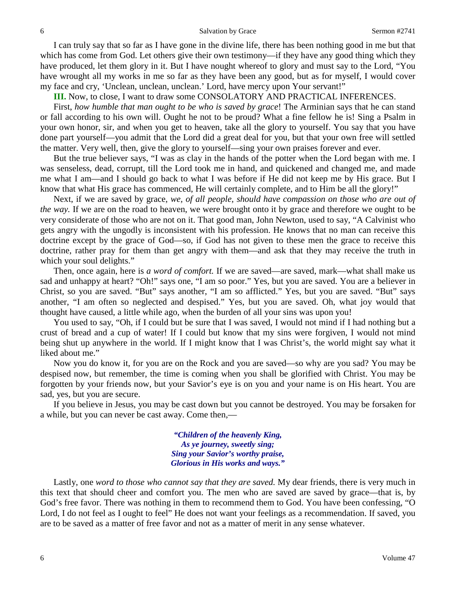I can truly say that so far as I have gone in the divine life, there has been nothing good in me but that which has come from God. Let others give their own testimony—if they have any good thing which they have produced, let them glory in it. But I have nought whereof to glory and must say to the Lord, "You have wrought all my works in me so far as they have been any good, but as for myself, I would cover my face and cry, 'Unclean, unclean, unclean.' Lord, have mercy upon Your servant!"

**III.** Now, to close, I want to draw some CONSOLATORY AND PRACTICAL INFERENCES.

First, *how humble that man ought to be who is saved by grace*! The Arminian says that he can stand or fall according to his own will. Ought he not to be proud? What a fine fellow he is! Sing a Psalm in your own honor, sir, and when you get to heaven, take all the glory to yourself. You say that you have done part yourself—you admit that the Lord did a great deal for you, but that your own free will settled the matter. Very well, then, give the glory to yourself—sing your own praises forever and ever.

But the true believer says, "I was as clay in the hands of the potter when the Lord began with me. I was senseless, dead, corrupt, till the Lord took me in hand, and quickened and changed me, and made me what I am—and I should go back to what I was before if He did not keep me by His grace. But I know that what His grace has commenced, He will certainly complete, and to Him be all the glory!"

Next, if we are saved by grace, *we, of all people, should have compassion on those who are out of the way.* If we are on the road to heaven, we were brought onto it by grace and therefore we ought to be very considerate of those who are not on it. That good man, John Newton, used to say, "A Calvinist who gets angry with the ungodly is inconsistent with his profession. He knows that no man can receive this doctrine except by the grace of God—so, if God has not given to these men the grace to receive this doctrine, rather pray for them than get angry with them—and ask that they may receive the truth in which your soul delights."

Then, once again, here is *a word of comfort.* If we are saved—are saved, mark—what shall make us sad and unhappy at heart? "Oh!" says one, "I am so poor." Yes, but you are saved. You are a believer in Christ, so you are saved. "But" says another, "I am so afflicted." Yes, but you are saved. "But" says another, "I am often so neglected and despised." Yes, but you are saved. Oh, what joy would that thought have caused, a little while ago, when the burden of all your sins was upon you!

You used to say, "Oh, if I could but be sure that I was saved, I would not mind if I had nothing but a crust of bread and a cup of water! If I could but know that my sins were forgiven, I would not mind being shut up anywhere in the world. If I might know that I was Christ's, the world might say what it liked about me."

Now you do know it, for you are on the Rock and you are saved—so why are you sad? You may be despised now, but remember, the time is coming when you shall be glorified with Christ. You may be forgotten by your friends now, but your Savior's eye is on you and your name is on His heart. You are sad, yes, but you are secure.

If you believe in Jesus, you may be cast down but you cannot be destroyed. You may be forsaken for a while, but you can never be cast away. Come then,—

> *"Children of the heavenly King, As ye journey, sweetly sing; Sing your Savior's worthy praise, Glorious in His works and ways."*

Lastly, one *word to those who cannot say that they are saved.* My dear friends, there is very much in this text that should cheer and comfort you. The men who are saved are saved by grace—that is, by God's free favor. There was nothing in them to recommend them to God. You have been confessing, "O Lord, I do not feel as I ought to feel" He does not want your feelings as a recommendation. If saved, you are to be saved as a matter of free favor and not as a matter of merit in any sense whatever.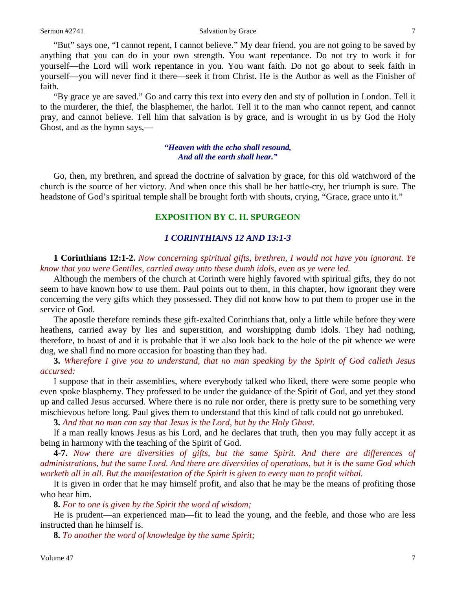#### Sermon #2741 Salvation by Grace 7

"But" says one, "I cannot repent, I cannot believe." My dear friend, you are not going to be saved by anything that you can do in your own strength. You want repentance. Do not try to work it for yourself—the Lord will work repentance in you. You want faith. Do not go about to seek faith in yourself—you will never find it there—seek it from Christ. He is the Author as well as the Finisher of faith.

"By grace ye are saved." Go and carry this text into every den and sty of pollution in London. Tell it to the murderer, the thief, the blasphemer, the harlot. Tell it to the man who cannot repent, and cannot pray, and cannot believe. Tell him that salvation is by grace, and is wrought in us by God the Holy Ghost, and as the hymn says,—

## *"Heaven with the echo shall resound, And all the earth shall hear."*

Go, then, my brethren, and spread the doctrine of salvation by grace, for this old watchword of the church is the source of her victory. And when once this shall be her battle-cry, her triumph is sure. The headstone of God's spiritual temple shall be brought forth with shouts, crying, "Grace, grace unto it."

## **EXPOSITION BY C. H. SPURGEON**

## *1 CORINTHIANS 12 AND 13:1-3*

**1 Corinthians 12:1-2.** *Now concerning spiritual gifts, brethren, I would not have you ignorant. Ye know that you were Gentiles, carried away unto these dumb idols, even as ye were led.* 

Although the members of the church at Corinth were highly favored with spiritual gifts, they do not seem to have known how to use them. Paul points out to them, in this chapter, how ignorant they were concerning the very gifts which they possessed. They did not know how to put them to proper use in the service of God.

The apostle therefore reminds these gift-exalted Corinthians that, only a little while before they were heathens, carried away by lies and superstition, and worshipping dumb idols. They had nothing, therefore, to boast of and it is probable that if we also look back to the hole of the pit whence we were dug, we shall find no more occasion for boasting than they had.

**3.** *Wherefore I give you to understand, that no man speaking by the Spirit of God calleth Jesus accursed:*

I suppose that in their assemblies, where everybody talked who liked, there were some people who even spoke blasphemy. They professed to be under the guidance of the Spirit of God, and yet they stood up and called Jesus accursed. Where there is no rule nor order, there is pretty sure to be something very mischievous before long. Paul gives them to understand that this kind of talk could not go unrebuked.

**3.** *And that no man can say that Jesus is the Lord, but by the Holy Ghost.* 

If a man really knows Jesus as his Lord, and he declares that truth, then you may fully accept it as being in harmony with the teaching of the Spirit of God.

**4-7.** *Now there are diversities of gifts, but the same Spirit. And there are differences of administrations, but the same Lord. And there are diversities of operations, but it is the same God which worketh all in all. But the manifestation of the Spirit is given to every man to profit withal.* 

It is given in order that he may himself profit, and also that he may be the means of profiting those who hear him.

**8.** *For to one is given by the Spirit the word of wisdom;*

He is prudent—an experienced man—fit to lead the young, and the feeble, and those who are less instructed than he himself is.

**8.** *To another the word of knowledge by the same Spirit;*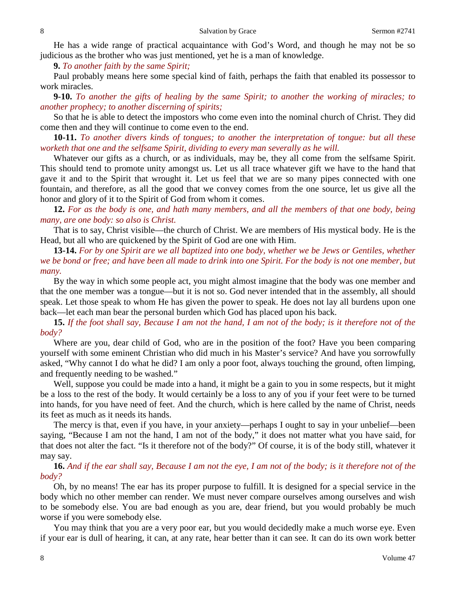He has a wide range of practical acquaintance with God's Word, and though he may not be so judicious as the brother who was just mentioned, yet he is a man of knowledge.

**9.** *To another faith by the same Spirit;*

Paul probably means here some special kind of faith, perhaps the faith that enabled its possessor to work miracles.

**9-10.** *To another the gifts of healing by the same Spirit; to another the working of miracles; to another prophecy; to another discerning of spirits;*

So that he is able to detect the impostors who come even into the nominal church of Christ. They did come then and they will continue to come even to the end.

**10-11.** *To another divers kinds of tongues; to another the interpretation of tongue: but all these worketh that one and the selfsame Spirit, dividing to every man severally as he will.* 

Whatever our gifts as a church, or as individuals, may be, they all come from the selfsame Spirit. This should tend to promote unity amongst us. Let us all trace whatever gift we have to the hand that gave it and to the Spirit that wrought it. Let us feel that we are so many pipes connected with one fountain, and therefore, as all the good that we convey comes from the one source, let us give all the honor and glory of it to the Spirit of God from whom it comes.

**12.** *For as the body is one, and hath many members, and all the members of that one body, being many, are one body: so also is Christ.* 

That is to say, Christ visible—the church of Christ. We are members of His mystical body. He is the Head, but all who are quickened by the Spirit of God are one with Him.

**13-14.** *For by one Spirit are we all baptized into one body, whether we be Jews or Gentiles, whether we be bond or free; and have been all made to drink into one Spirit. For the body is not one member, but many.* 

By the way in which some people act, you might almost imagine that the body was one member and that the one member was a tongue—but it is not so. God never intended that in the assembly, all should speak. Let those speak to whom He has given the power to speak. He does not lay all burdens upon one back—let each man bear the personal burden which God has placed upon his back.

**15.** *If the foot shall say, Because I am not the hand, I am not of the body; is it therefore not of the body?* 

Where are you, dear child of God, who are in the position of the foot? Have you been comparing yourself with some eminent Christian who did much in his Master's service? And have you sorrowfully asked, "Why cannot I do what he did? I am only a poor foot, always touching the ground, often limping, and frequently needing to be washed."

Well, suppose you could be made into a hand, it might be a gain to you in some respects, but it might be a loss to the rest of the body. It would certainly be a loss to any of you if your feet were to be turned into hands, for you have need of feet. And the church, which is here called by the name of Christ, needs its feet as much as it needs its hands.

The mercy is that, even if you have, in your anxiety—perhaps I ought to say in your unbelief—been saying, "Because I am not the hand, I am not of the body," it does not matter what you have said, for that does not alter the fact. "Is it therefore not of the body?" Of course, it is of the body still, whatever it may say.

## **16.** *And if the ear shall say, Because I am not the eye, I am not of the body; is it therefore not of the body?*

Oh, by no means! The ear has its proper purpose to fulfill. It is designed for a special service in the body which no other member can render. We must never compare ourselves among ourselves and wish to be somebody else. You are bad enough as you are, dear friend, but you would probably be much worse if you were somebody else.

You may think that you are a very poor ear, but you would decidedly make a much worse eye. Even if your ear is dull of hearing, it can, at any rate, hear better than it can see. It can do its own work better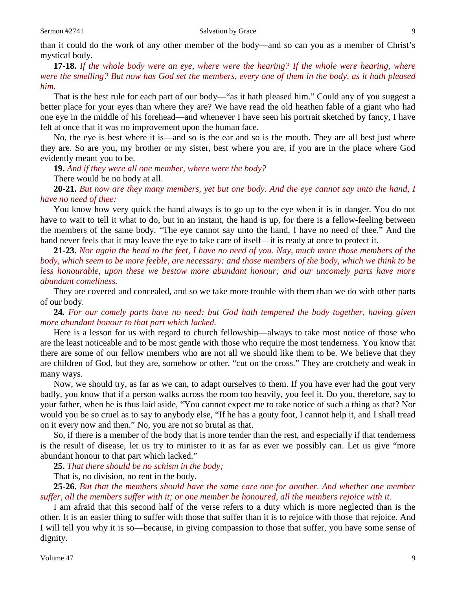than it could do the work of any other member of the body—and so can you as a member of Christ's mystical body.

**17-18.** *If the whole body were an eye, where were the hearing? If the whole were hearing, where were the smelling? But now has God set the members, every one of them in the body, as it hath pleased him.* 

That is the best rule for each part of our body—"as it hath pleased him." Could any of you suggest a better place for your eyes than where they are? We have read the old heathen fable of a giant who had one eye in the middle of his forehead—and whenever I have seen his portrait sketched by fancy, I have felt at once that it was no improvement upon the human face.

No, the eye is best where it is—and so is the ear and so is the mouth. They are all best just where they are. So are you, my brother or my sister, best where you are, if you are in the place where God evidently meant you to be.

**19.** *And if they were all one member, where were the body?* 

There would be no body at all.

**20-21.** *But now are they many members, yet but one body. And the eye cannot say unto the hand, I have no need of thee:*

You know how very quick the hand always is to go up to the eye when it is in danger. You do not have to wait to tell it what to do, but in an instant, the hand is up, for there is a fellow-feeling between the members of the same body. "The eye cannot say unto the hand, I have no need of thee." And the hand never feels that it may leave the eye to take care of itself—it is ready at once to protect it.

**21-23.** *Nor again the head to the feet, I have no need of you. Nay, much more those members of the body, which seem to be more feeble, are necessary: and those members of the body, which we think to be*  less honourable, upon these we bestow more abundant honour; and our uncomely parts have more *abundant comeliness.*

They are covered and concealed, and so we take more trouble with them than we do with other parts of our body.

**24***. For our comely parts have no need: but God hath tempered the body together, having given more abundant honour to that part which lacked.*

Here is a lesson for us with regard to church fellowship—always to take most notice of those who are the least noticeable and to be most gentle with those who require the most tenderness. You know that there are some of our fellow members who are not all we should like them to be. We believe that they are children of God, but they are, somehow or other, "cut on the cross." They are crotchety and weak in many ways.

Now, we should try, as far as we can, to adapt ourselves to them. If you have ever had the gout very badly, you know that if a person walks across the room too heavily, you feel it. Do you, therefore, say to your father, when he is thus laid aside, "You cannot expect me to take notice of such a thing as that? Nor would you be so cruel as to say to anybody else, "If he has a gouty foot, I cannot help it, and I shall tread on it every now and then." No, you are not so brutal as that.

So, if there is a member of the body that is more tender than the rest, and especially if that tenderness is the result of disease, let us try to minister to it as far as ever we possibly can. Let us give "more abundant honour to that part which lacked."

**25.** *That there should be no schism in the body;*

That is, no division, no rent in the body.

**25-26.** *But that the members should have the same care one for another. And whether one member suffer, all the members suffer with it; or one member be honoured, all the members rejoice with it.* 

I am afraid that this second half of the verse refers to a duty which is more neglected than is the other. It is an easier thing to suffer with those that suffer than it is to rejoice with those that rejoice. And I will tell you why it is so—because, in giving compassion to those that suffer, you have some sense of dignity.